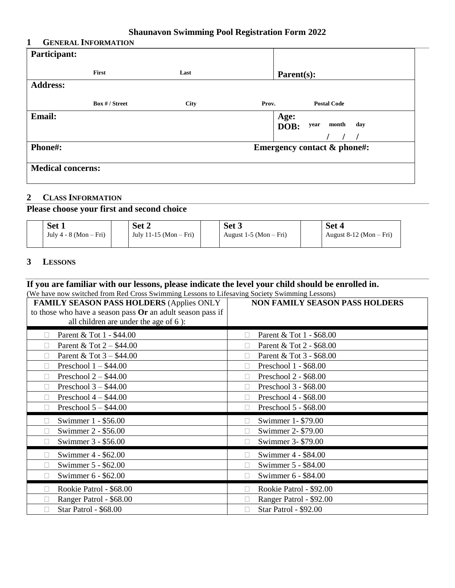#### **Shaunavon Swimming Pool Registration Form 2022**

#### **1 GENERAL INFORMATION**

| Participant:             |                |             |                                        |
|--------------------------|----------------|-------------|----------------------------------------|
|                          | First          | Last        | Parent(s):                             |
| <b>Address:</b>          |                |             |                                        |
|                          | Box # / Street | <b>City</b> | <b>Postal Code</b><br>Prov.            |
| <b>Email:</b>            |                |             | Age:<br>month<br>day<br>DOB:<br>year   |
|                          |                |             |                                        |
| Phone#:                  |                |             | <b>Emergency contact &amp; phone#:</b> |
| <b>Medical concerns:</b> |                |             |                                        |

## **2 CLASS INFORMATION**

### **Please choose your first and second choice**

| Set 1                      | Set 2                    | Set <sub>3</sub>         | Set 4                     |
|----------------------------|--------------------------|--------------------------|---------------------------|
| July $4 - 8$ (Mon $-$ Fri) | July 11-15 (Mon $-$ Fri) | August 1-5 (Mon $-$ Fri) | August $8-12$ (Mon – Fri) |

#### **3 LESSONS**

#### **If you are familiar with our lessons, please indicate the level your child should be enrolled in.**  (We have now switched from Red Cross Swimming Lessons to Lifesaving Society Swimming Lessons)

| <u>1887 • 110 m Bullette in Shi literal Closs Bullinum</u><br><b>FAMILY SEASON PASS HOLDERS (Applies ONLY</b><br>to those who have a season pass Or an adult season pass if<br>all children are under the age of 6):                               | <b>NON FAMILY SEASON PASS HOLDERS</b>                                                                                                                                                                                                   |
|----------------------------------------------------------------------------------------------------------------------------------------------------------------------------------------------------------------------------------------------------|-----------------------------------------------------------------------------------------------------------------------------------------------------------------------------------------------------------------------------------------|
| Parent & Tot 1 - \$44.00<br>Parent & Tot $2 - $44.00$<br>Parent & Tot $3 - $44.00$<br>П<br>Preschool $1 - $44.00$<br>П<br>Preschool $2 - $44.00$<br>П<br>Preschool $3 - $44.00$<br>п<br>Preschool $4 - $44.00$<br>П<br>Preschool $5 - $44.00$<br>П | Parent & Tot 1 - \$68.00<br>Parent & Tot 2 - \$68.00<br>Parent & Tot 3 - \$68.00<br>$\mathbf{L}$<br>Preschool 1 - \$68.00<br>Preschool 2 - \$68.00<br>Preschool 3 - \$68.00<br>Preschool 4 - \$68.00<br>Preschool 5 - \$68.00<br>$\Box$ |
| Swimmer 1 - \$56.00<br>Swimmer 2 - \$56.00<br>Swimmer 3 - \$56.00<br>$\Box$<br>Swimmer 4 - \$62.00<br>Swimmer 5 - \$62.00<br>П<br>Swimmer 6 - \$62.00<br>П                                                                                         | Swimmer 1-\$79.00<br>Swimmer 2-\$79.00<br>Swimmer 3-\$79.00<br>Swimmer 4 - \$84.00<br>Swimmer 5 - \$84.00<br>$\mathbf{L}$<br>Swimmer 6 - \$84.00                                                                                        |
| Rookie Patrol - \$68.00<br>Ranger Patrol - \$68.00<br>П<br>Star Patrol - \$68.00                                                                                                                                                                   | Rookie Patrol - \$92.00<br>Ranger Patrol - \$92.00<br>Star Patrol - \$92.00                                                                                                                                                             |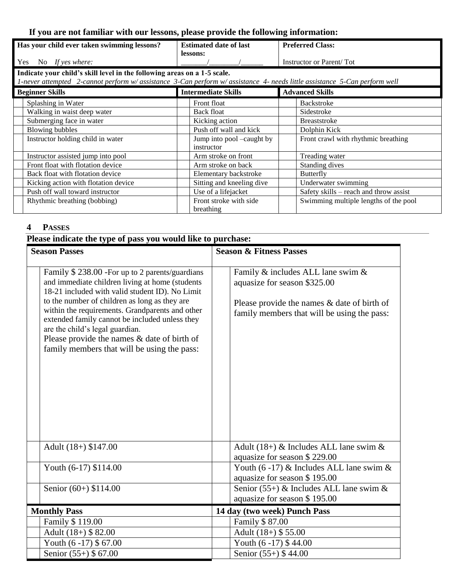# **If you are not familiar with our lessons, please provide the following information:**

| Has your child ever taken swimming lessons?                                                                              | <b>Estimated date of last</b>           | <b>Preferred Class:</b>                |  |  |
|--------------------------------------------------------------------------------------------------------------------------|-----------------------------------------|----------------------------------------|--|--|
|                                                                                                                          | lessons:                                |                                        |  |  |
| Yes<br>No If yes where:                                                                                                  |                                         | Instructor or Parent/Tot               |  |  |
| Indicate your child's skill level in the following areas on a 1-5 scale.                                                 |                                         |                                        |  |  |
| 1-never attempted 2-cannot perform w/assistance 3-Can perform w/assistance 4- needs little assistance 5-Can perform well |                                         |                                        |  |  |
| <b>Beginner Skills</b>                                                                                                   | <b>Intermediate Skills</b>              | <b>Advanced Skills</b>                 |  |  |
| Splashing in Water                                                                                                       | Front float                             | Backstroke                             |  |  |
| Walking in waist deep water                                                                                              | Back float                              | Sidestroke                             |  |  |
| Submerging face in water                                                                                                 | Kicking action                          | <b>Breaststroke</b>                    |  |  |
| <b>Blowing bubbles</b>                                                                                                   | Push off wall and kick                  | Dolphin Kick                           |  |  |
| Instructor holding child in water                                                                                        | Jump into pool –caught by<br>instructor | Front crawl with rhythmic breathing    |  |  |
| Instructor assisted jump into pool                                                                                       | Arm stroke on front                     | Treading water                         |  |  |
| Front float with flotation device                                                                                        | Arm stroke on back                      | Standing dives                         |  |  |
| Back float with flotation device                                                                                         | Elementary backstroke                   | <b>Butterfly</b>                       |  |  |
| Kicking action with flotation device                                                                                     | Sitting and kneeling dive               | Underwater swimming                    |  |  |
| Push off wall toward instructor                                                                                          | Use of a lifejacket                     | Safety skills – reach and throw assist |  |  |
| Rhythmic breathing (bobbing)                                                                                             | Front stroke with side                  | Swimming multiple lengths of the pool  |  |  |
|                                                                                                                          | breathing                               |                                        |  |  |

## **4 PASSES**

| Please indicate the type of pass you would like to purchase:                                                                                                                                                                                                                                                                                                                                                                                   |                                                                                                                                                                    |  |
|------------------------------------------------------------------------------------------------------------------------------------------------------------------------------------------------------------------------------------------------------------------------------------------------------------------------------------------------------------------------------------------------------------------------------------------------|--------------------------------------------------------------------------------------------------------------------------------------------------------------------|--|
| <b>Season Passes</b>                                                                                                                                                                                                                                                                                                                                                                                                                           | <b>Season &amp; Fitness Passes</b>                                                                                                                                 |  |
| Family \$238.00 - For up to 2 parents/guardians<br>and immediate children living at home (students<br>18-21 included with valid student ID). No Limit<br>to the number of children as long as they are<br>within the requirements. Grandparents and other<br>extended family cannot be included unless they<br>are the child's legal guardian.<br>Please provide the names $&$ date of birth of<br>family members that will be using the pass: | Family & includes ALL lane swim &<br>aquasize for season \$325.00<br>Please provide the names $\&$ date of birth of<br>family members that will be using the pass: |  |
| Adult (18+) \$147.00                                                                                                                                                                                                                                                                                                                                                                                                                           | Adult (18+) & Includes ALL lane swim $\&$<br>aquasize for season \$229.00                                                                                          |  |
| Youth (6-17) \$114.00                                                                                                                                                                                                                                                                                                                                                                                                                          | Youth (6-17) & Includes ALL lane swim $\&$<br>aquasize for season \$195.00                                                                                         |  |
| Senior (60+) \$114.00                                                                                                                                                                                                                                                                                                                                                                                                                          | Senior (55+) & Includes ALL lane swim $\&$<br>aquasize for season \$195.00                                                                                         |  |
| <b>Monthly Pass</b>                                                                                                                                                                                                                                                                                                                                                                                                                            | 14 day (two week) Punch Pass                                                                                                                                       |  |
| Family \$119.00                                                                                                                                                                                                                                                                                                                                                                                                                                | Family \$87.00                                                                                                                                                     |  |
| Adult (18+) \$82.00                                                                                                                                                                                                                                                                                                                                                                                                                            | Adult $(18+)$ \$ 55.00                                                                                                                                             |  |
| Youth $(6-17)$ \$67.00                                                                                                                                                                                                                                                                                                                                                                                                                         | Youth $(6-17)$ \$44.00                                                                                                                                             |  |
| Senior (55+) \$ 67.00                                                                                                                                                                                                                                                                                                                                                                                                                          | Senior (55+) \$44.00                                                                                                                                               |  |